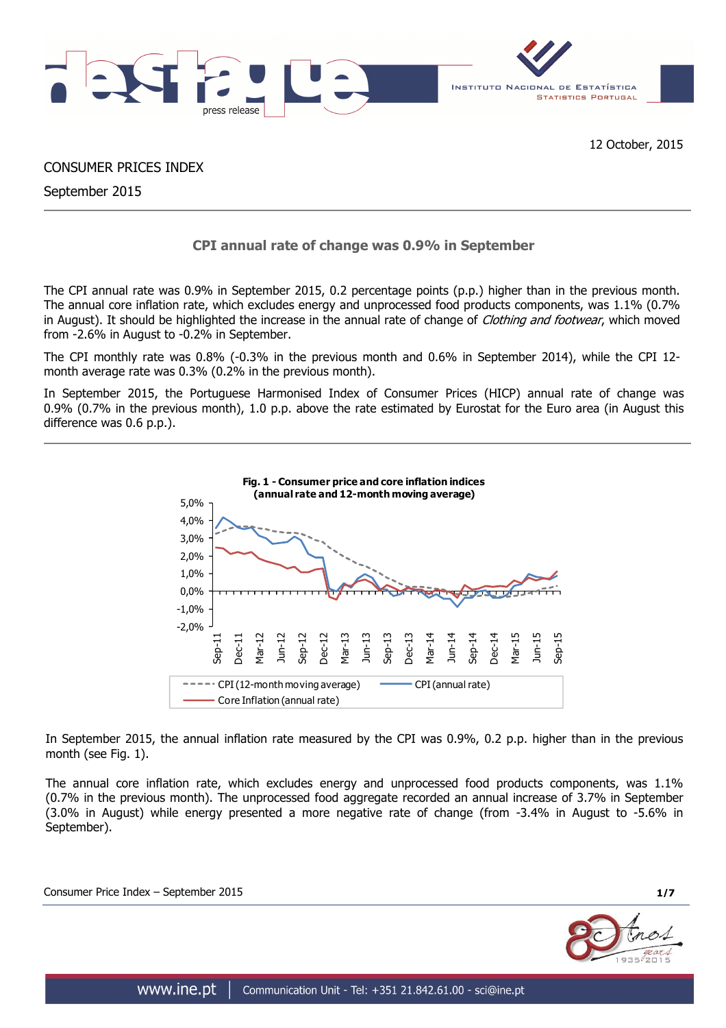

CONSUMER PRICES INDEX

September 2015

# **CPI annual rate of change was 0.9% in September**

The CPI annual rate was 0.9% in September 2015, 0.2 percentage points (p.p.) higher than in the previous month. The annual core inflation rate, which excludes energy and unprocessed food products components, was 1.1% (0.7% in August). It should be highlighted the increase in the annual rate of change of Clothing and footwear, which moved from -2.6% in August to -0.2% in September.

The CPI monthly rate was 0.8% (-0.3% in the previous month and 0.6% in September 2014), while the CPI 12 month average rate was 0.3% (0.2% in the previous month).

In September 2015, the Portuguese Harmonised Index of Consumer Prices (HICP) annual rate of change was 0.9% (0.7% in the previous month), 1.0 p.p. above the rate estimated by Eurostat for the Euro area (in August this difference was 0.6 p.p.).



In September 2015, the annual inflation rate measured by the CPI was 0.9%, 0.2 p.p. higher than in the previous month (see Fig. 1).

The annual core inflation rate, which excludes energy and unprocessed food products components, was 1.1% (0.7% in the previous month). The unprocessed food aggregate recorded an annual increase of 3.7% in September (3.0% in August) while energy presented a more negative rate of change (from -3.4% in August to -5.6% in September).

Consumer Price Index – September 2015 **1/7**

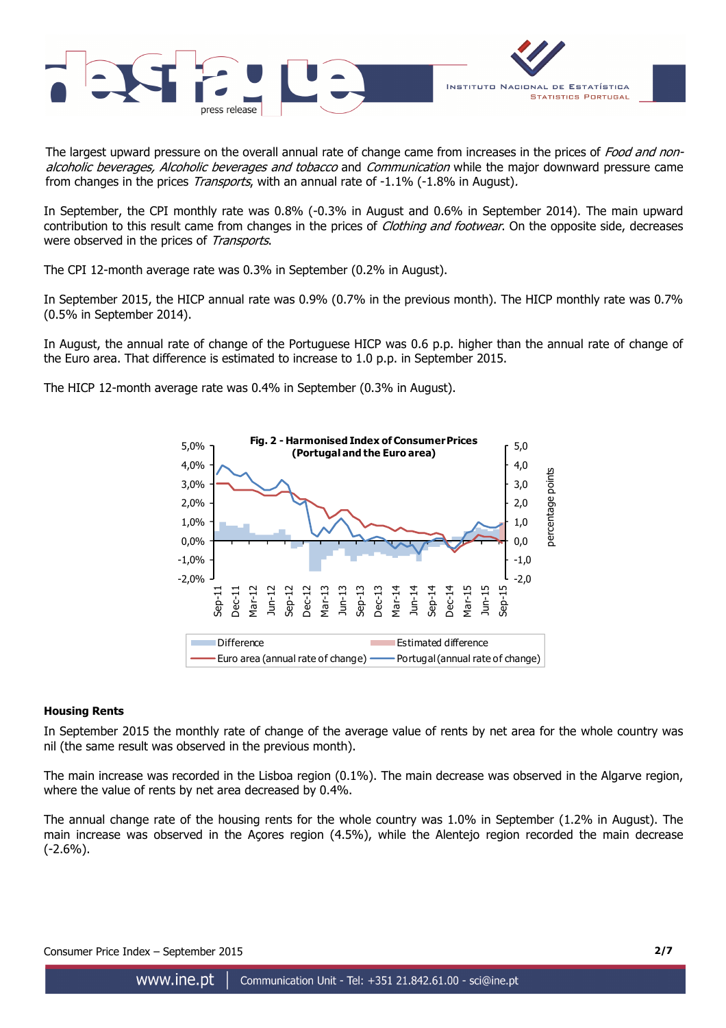

The largest upward pressure on the overall annual rate of change came from increases in the prices of Food and nonalcoholic beverages, Alcoholic beverages and tobacco and Communication while the major downward pressure came from changes in the prices *Transports*, with an annual rate of -1.1% (-1.8% in August).

In September, the CPI monthly rate was 0.8% (-0.3% in August and 0.6% in September 2014). The main upward contribution to this result came from changes in the prices of *Clothing and footwear*. On the opposite side, decreases were observed in the prices of Transports.

The CPI 12-month average rate was 0.3% in September (0.2% in August).

In September 2015, the HICP annual rate was 0.9% (0.7% in the previous month). The HICP monthly rate was 0.7% (0.5% in September 2014).

In August, the annual rate of change of the Portuguese HICP was 0.6 p.p. higher than the annual rate of change of the Euro area. That difference is estimated to increase to 1.0 p.p. in September 2015.

The HICP 12-month average rate was 0.4% in September (0.3% in August).



#### **Housing Rents**

In September 2015 the monthly rate of change of the average value of rents by net area for the whole country was nil (the same result was observed in the previous month).

The main increase was recorded in the Lisboa region (0.1%). The main decrease was observed in the Algarve region, where the value of rents by net area decreased by 0.4%.

The annual change rate of the housing rents for the whole country was 1.0% in September (1.2% in August). The main increase was observed in the Açores region (4.5%), while the Alentejo region recorded the main decrease (-2.6%).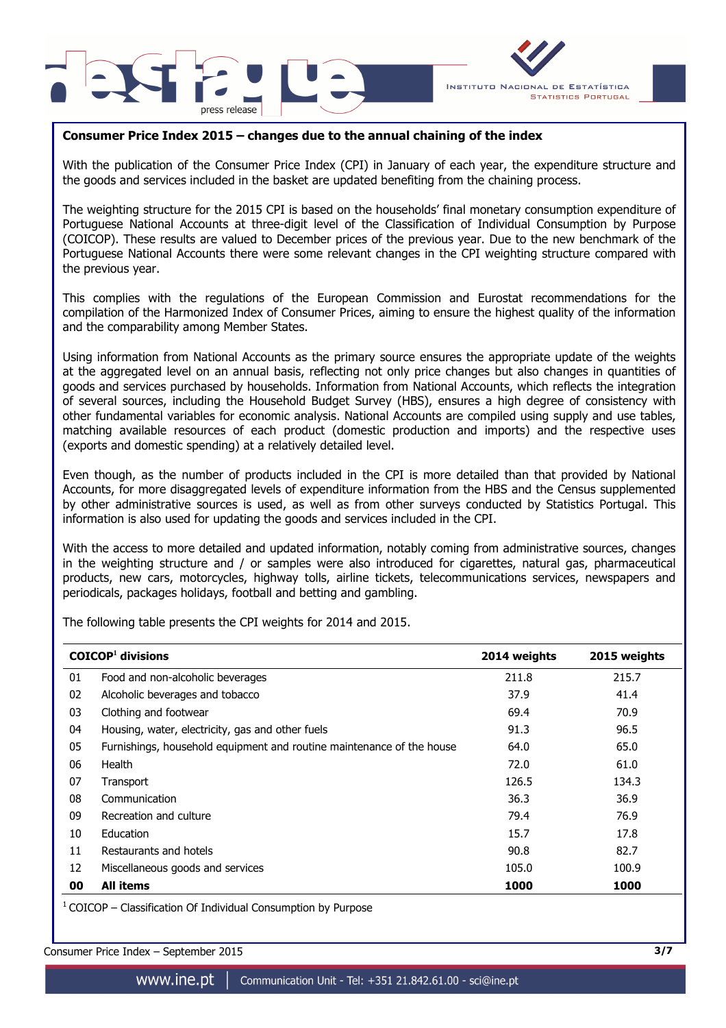



# **Consumer Price Index 2015 – changes due to the annual chaining of the index**

With the publication of the Consumer Price Index (CPI) in January of each year, the expenditure structure and the goods and services included in the basket are updated benefiting from the chaining process.

The weighting structure for the 2015 CPI is based on the households' final monetary consumption expenditure of Portuguese National Accounts at three-digit level of the Classification of Individual Consumption by Purpose (COICOP). These results are valued to December prices of the previous year. Due to the new benchmark of the Portuguese National Accounts there were some relevant changes in the CPI weighting structure compared with the previous year.

This complies with the regulations of the European Commission and Eurostat recommendations for the compilation of the Harmonized Index of Consumer Prices, aiming to ensure the highest quality of the information and the comparability among Member States.

Using information from National Accounts as the primary source ensures the appropriate update of the weights at the aggregated level on an annual basis, reflecting not only price changes but also changes in quantities of goods and services purchased by households. Information from National Accounts, which reflects the integration of several sources, including the Household Budget Survey (HBS), ensures a high degree of consistency with other fundamental variables for economic analysis. National Accounts are compiled using supply and use tables, matching available resources of each product (domestic production and imports) and the respective uses (exports and domestic spending) at a relatively detailed level.

Even though, as the number of products included in the CPI is more detailed than that provided by National Accounts, for more disaggregated levels of expenditure information from the HBS and the Census supplemented by other administrative sources is used, as well as from other surveys conducted by Statistics Portugal. This information is also used for updating the goods and services included in the CPI.

With the access to more detailed and updated information, notably coming from administrative sources, changes in the weighting structure and / or samples were also introduced for cigarettes, natural gas, pharmaceutical products, new cars, motorcycles, highway tolls, airline tickets, telecommunications services, newspapers and periodicals, packages holidays, football and betting and gambling.

The following table presents the CPI weights for 2014 and 2015.

|    | $COICOP1$ divisions                                                   | 2014 weights | 2015 weights |
|----|-----------------------------------------------------------------------|--------------|--------------|
| 01 | Food and non-alcoholic beverages                                      | 211.8        | 215.7        |
| 02 | Alcoholic beverages and tobacco                                       | 37.9         | 41.4         |
| 03 | Clothing and footwear                                                 | 69.4         | 70.9         |
| 04 | Housing, water, electricity, gas and other fuels                      | 91.3         | 96.5         |
| 05 | Furnishings, household equipment and routine maintenance of the house | 64.0         | 65.0         |
| 06 | Health                                                                | 72.0         | 61.0         |
| 07 | Transport                                                             | 126.5        | 134.3        |
| 08 | Communication                                                         | 36.3         | 36.9         |
| 09 | Recreation and culture                                                | 79.4         | 76.9         |
| 10 | Education                                                             | 15.7         | 17.8         |
| 11 | Restaurants and hotels                                                | 90.8         | 82.7         |
| 12 | Miscellaneous goods and services                                      | 105.0        | 100.9        |
| 00 | <b>All items</b>                                                      | 1000         | 1000         |

 $1$  COICOP – Classification Of Individual Consumption by Purpose

Consumer Price Index – September 2015 **3/7**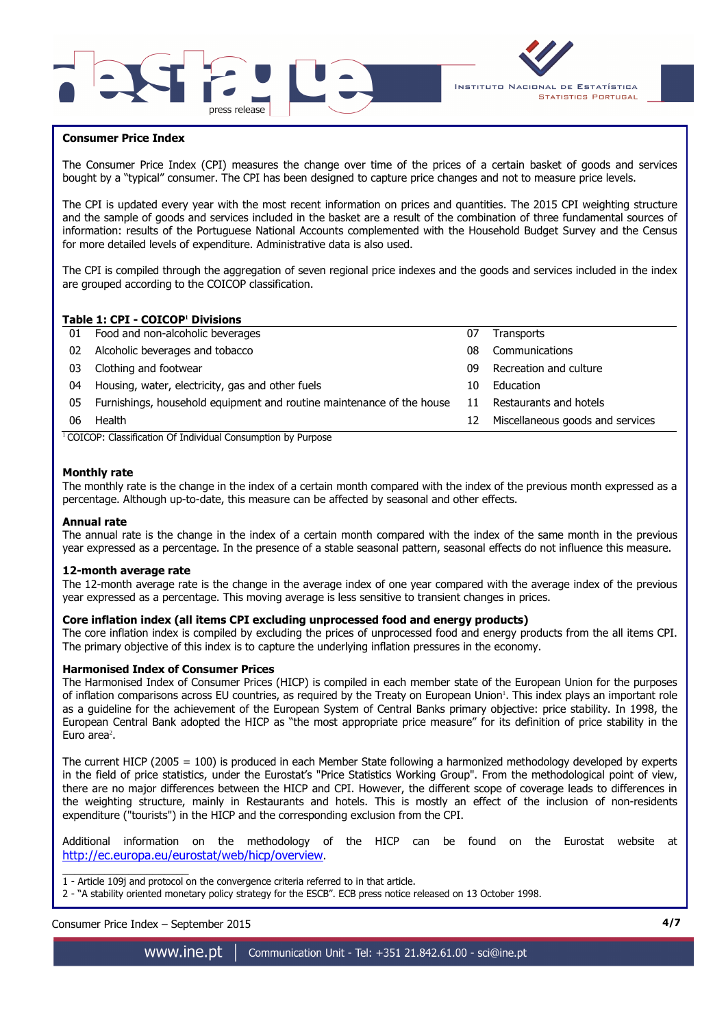



## **Consumer Price Index**

I

The Consumer Price Index (CPI) measures the change over time of the prices of a certain basket of goods and services bought by a "typical" consumer. The CPI has been designed to capture price changes and not to measure price levels.

The CPI is updated every year with the most recent information on prices and quantities. The 2015 CPI weighting structure and the sample of goods and services included in the basket are a result of the combination of three fundamental sources of information: results of the Portuguese National Accounts complemented with the Household Budget Survey and the Census for more detailed levels of expenditure. Administrative data is also used.

The CPI is compiled through the aggregation of seven regional price indexes and the goods and services included in the index are grouped according to the COICOP classification.

## **Table 1: CPI - COICOP<sup>1</sup> Divisions**

| 01 | Food and non-alcoholic beverages                                      | 07 | <b>Transports</b>                |
|----|-----------------------------------------------------------------------|----|----------------------------------|
| 02 | Alcoholic beverages and tobacco                                       | 08 | Communications                   |
| 03 | Clothing and footwear                                                 | 09 | Recreation and culture           |
| 04 | Housing, water, electricity, gas and other fuels                      | 10 | Education                        |
| 05 | Furnishings, household equipment and routine maintenance of the house | 11 | Restaurants and hotels           |
| 06 | Health                                                                | 12 | Miscellaneous goods and services |
|    | $\cdots$<br>$\cdots$<br>$\sim$                                        |    |                                  |

<sup>1</sup> COICOP: Classification Of Individual Consumption by Purpose

### **Monthly rate**

The monthly rate is the change in the index of a certain month compared with the index of the previous month expressed as a percentage. Although up-to-date, this measure can be affected by seasonal and other effects.

#### **Annual rate**

The annual rate is the change in the index of a certain month compared with the index of the same month in the previous year expressed as a percentage. In the presence of a stable seasonal pattern, seasonal effects do not influence this measure.

#### **12-month average rate**

The 12-month average rate is the change in the average index of one year compared with the average index of the previous year expressed as a percentage. This moving average is less sensitive to transient changes in prices.

#### **Core inflation index (all items CPI excluding unprocessed food and energy products)**

The core inflation index is compiled by excluding the prices of unprocessed food and energy products from the all items CPI. The primary objective of this index is to capture the underlying inflation pressures in the economy.

#### **Harmonised Index of Consumer Prices**

The Harmonised Index of Consumer Prices (HICP) is compiled in each member state of the European Union for the purposes of inflation comparisons across EU countries, as required by the Treaty on European Union'. This index plays an important role as a guideline for the achievement of the European System of Central Banks primary objective: price stability. In 1998, the European Central Bank adopted the HICP as "the most appropriate price measure" for its definition of price stability in the Euro area<sup>2</sup>.

The current HICP (2005 = 100) is produced in each Member State following a harmonized methodology developed by experts in the field of price statistics, under the Eurostat's "Price Statistics Working Group". From the methodological point of view, there are no major differences between the HICP and CPI. However, the different scope of coverage leads to differences in the weighting structure, mainly in Restaurants and hotels. This is mostly an effect of the inclusion of non-residents expenditure ("tourists") in the HICP and the corresponding exclusion from the CPI.

Additional information on the methodology of the HICP can be found on the Eurostat website at http://ec.europa.eu/eurostat/web/hicp/overview.

\_\_\_\_\_\_\_\_\_\_\_\_\_\_\_\_\_\_\_\_\_ 1 - Article 109j and protocol on the convergence criteria referred to in that article.

2 - "A stability oriented monetary policy strategy for the ESCB". ECB press notice released on 13 October 1998.

Consumer Price Index – September 2015 **4/7**

www.ine.pt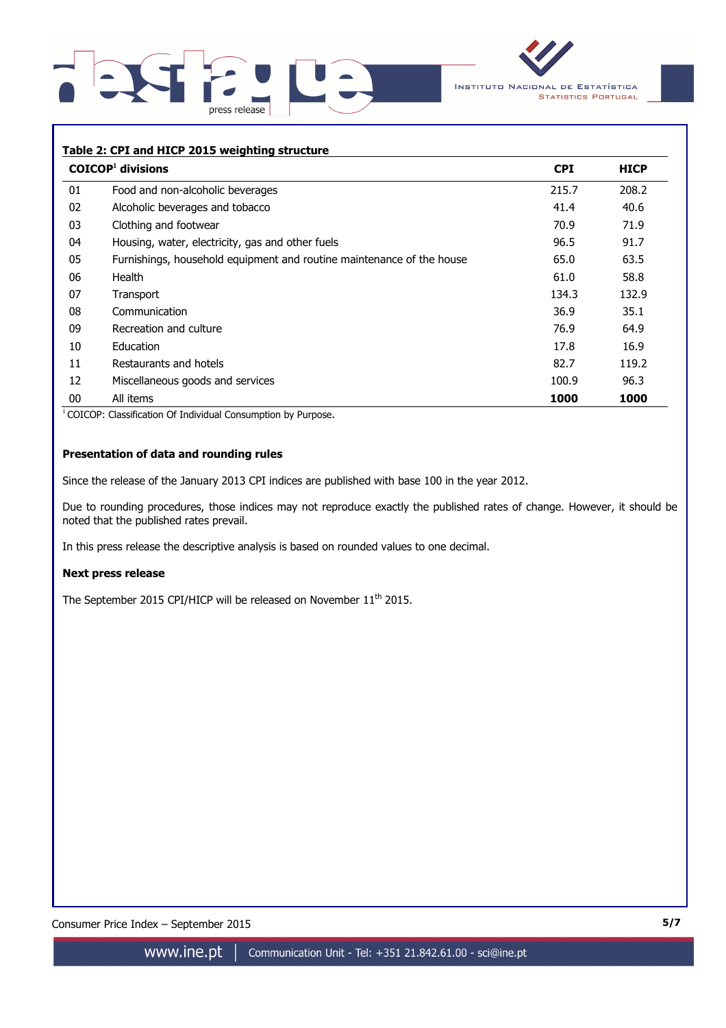



## **Table 2: CPI and HICP 2015 weighting structure**

|    | $COICOP1$ divisions                                                   | <b>CPI</b> | <b>HICP</b> |
|----|-----------------------------------------------------------------------|------------|-------------|
| 01 | Food and non-alcoholic beverages                                      | 215.7      | 208.2       |
| 02 | Alcoholic beverages and tobacco                                       | 41.4       | 40.6        |
| 03 | Clothing and footwear                                                 | 70.9       | 71.9        |
| 04 | Housing, water, electricity, gas and other fuels                      | 96.5       | 91.7        |
| 05 | Furnishings, household equipment and routine maintenance of the house | 65.0       | 63.5        |
| 06 | Health                                                                | 61.0       | 58.8        |
| 07 | Transport                                                             | 134.3      | 132.9       |
| 08 | Communication                                                         | 36.9       | 35.1        |
| 09 | Recreation and culture                                                | 76.9       | 64.9        |
| 10 | Education                                                             | 17.8       | 16.9        |
| 11 | Restaurants and hotels                                                | 82.7       | 119.2       |
| 12 | Miscellaneous goods and services                                      | 100.9      | 96.3        |
| 00 | All items                                                             | 1000       | 1000        |

<sup>1</sup> COICOP: Classification Of Individual Consumption by Purpose.

# **Presentation of data and rounding rules**

Since the release of the January 2013 CPI indices are published with base 100 in the year 2012.

Due to rounding procedures, those indices may not reproduce exactly the published rates of change. However, it should be noted that the published rates prevail.

In this press release the descriptive analysis is based on rounded values to one decimal.

#### **Next press release**

The September 2015 CPI/HICP will be released on November 11<sup>th</sup> 2015.

Consumer Price Index – September 2015 **5/7**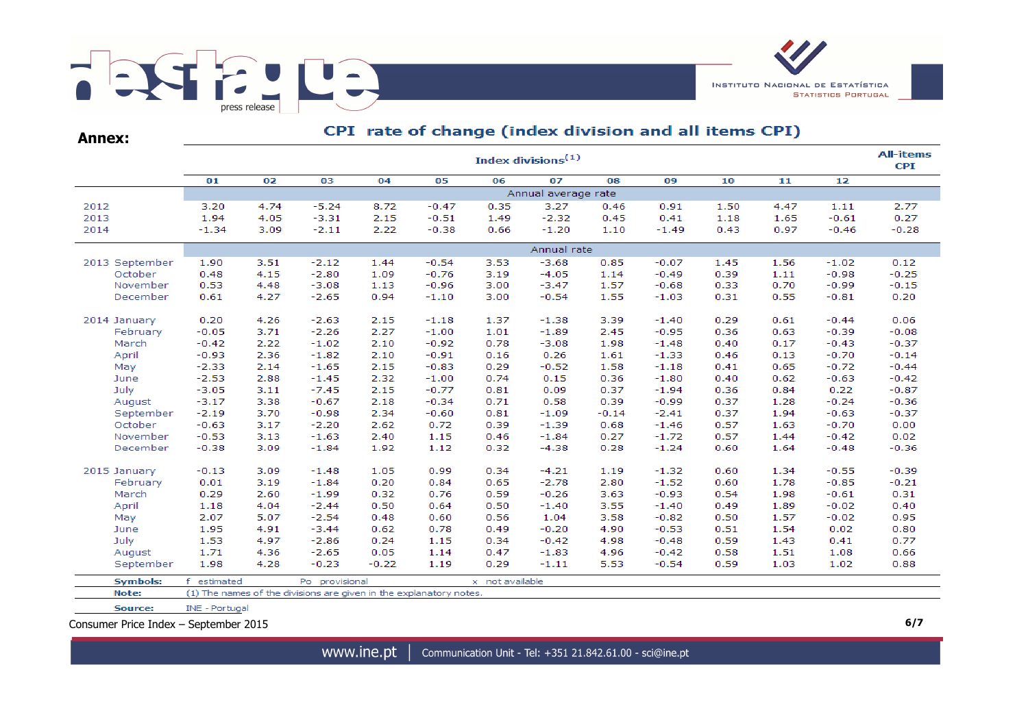

| <b>Annex:</b> |    |  |
|---------------|----|--|
|               |    |  |
|               | 01 |  |

# CPI rate of change (index division and all items CPI)

|                 | Index divisions $(1)$ |      |                                                                    |         |         |                 |                     |         |         |      |      |         |         |  |
|-----------------|-----------------------|------|--------------------------------------------------------------------|---------|---------|-----------------|---------------------|---------|---------|------|------|---------|---------|--|
|                 | 01                    | 02   | 03                                                                 | 04      | 05      | 06              | 07                  | 08      | 09      | 10   | 11   | 12      |         |  |
|                 |                       |      |                                                                    |         |         |                 | Annual average rate |         |         |      |      |         |         |  |
| 2012            | 3.20                  | 4.74 | $-5.24$                                                            | 8.72    | $-0.47$ | 0.35            | 3.27                | 0.46    | 0.91    | 1.50 | 4.47 | 1.11    | 2.77    |  |
| 2013            | 1.94                  | 4.05 | $-3.31$                                                            | 2.15    | $-0.51$ | 1.49            | $-2.32$             | 0.45    | 0.41    | 1.18 | 1.65 | $-0.61$ | 0.27    |  |
| 2014            | $-1.34$               | 3.09 | $-2.11$                                                            | 2.22    | $-0.38$ | 0.66            | $-1.20$             | 1.10    | $-1.49$ | 0.43 | 0.97 | $-0.46$ | $-0.28$ |  |
|                 | Annual rate           |      |                                                                    |         |         |                 |                     |         |         |      |      |         |         |  |
| 2013 September  | 1.90                  | 3.51 | $-2.12$                                                            | 1.44    | $-0.54$ | 3.53            | $-3.68$             | 0.85    | $-0.07$ | 1.45 | 1.56 | $-1.02$ | 0.12    |  |
| October         | 0.48                  | 4.15 | $-2.80$                                                            | 1.09    | $-0.76$ | 3.19            | $-4.05$             | 1.14    | $-0.49$ | 0.39 | 1.11 | $-0.98$ | $-0.25$ |  |
| November        | 0.53                  | 4.48 | $-3.08$                                                            | 1.13    | $-0.96$ | 3.00            | $-3.47$             | 1.57    | $-0.68$ | 0.33 | 0.70 | $-0.99$ | $-0.15$ |  |
| December        | 0.61                  | 4.27 | $-2.65$                                                            | 0.94    | $-1.10$ | 3.00            | $-0.54$             | 1.55    | $-1.03$ | 0.31 | 0.55 | $-0.81$ | 0.20    |  |
| 2014 January    | 0.20                  | 4.26 | $-2.63$                                                            | 2.15    | $-1.18$ | 1.37            | $-1.38$             | 3.39    | $-1.40$ | 0.29 | 0.61 | $-0.44$ | 0.06    |  |
| February        | $-0.05$               | 3.71 | $-2.26$                                                            | 2.27    | $-1.00$ | 1.01            | $-1.89$             | 2.45    | $-0.95$ | 0.36 | 0.63 | $-0.39$ | $-0.08$ |  |
| March           | $-0.42$               | 2.22 | $-1.02$                                                            | 2.10    | $-0.92$ | 0.78            | $-3.08$             | 1.98    | $-1.48$ | 0.40 | 0.17 | $-0.43$ | $-0.37$ |  |
| April           | $-0.93$               | 2.36 | $-1.82$                                                            | 2.10    | $-0.91$ | 0.16            | 0.26                | 1.61    | $-1.33$ | 0.46 | 0.13 | $-0.70$ | $-0.14$ |  |
| May             | $-2.33$               | 2.14 | $-1.65$                                                            | 2.15    | $-0.83$ | 0.29            | $-0.52$             | 1.58    | $-1.18$ | 0.41 | 0.65 | $-0.72$ | $-0.44$ |  |
| June            | $-2.53$               | 2.88 | $-1.45$                                                            | 2.32    | $-1.00$ | 0.74            | 0.15                | 0.36    | $-1.80$ | 0.40 | 0.62 | $-0.63$ | $-0.42$ |  |
| July            | $-3.05$               | 3.11 | $-7.45$                                                            | 2.15    | $-0.77$ | 0.81            | 0.09                | 0.37    | $-1.94$ | 0.36 | 0.84 | 0.22    | $-0.87$ |  |
| August          | $-3.17$               | 3.38 | $-0.67$                                                            | 2.18    | $-0.34$ | 0.71            | 0.58                | 0.39    | $-0.99$ | 0.37 | 1.28 | $-0.24$ | $-0.36$ |  |
| September       | $-2.19$               | 3.70 | $-0.98$                                                            | 2.34    | $-0.60$ | 0.81            | $-1.09$             | $-0.14$ | $-2.41$ | 0.37 | 1.94 | $-0.63$ | $-0.37$ |  |
| October         | $-0.63$               | 3.17 | $-2.20$                                                            | 2.62    | 0.72    | 0.39            | $-1.39$             | 0.68    | $-1.46$ | 0.57 | 1.63 | $-0.70$ | 0.00    |  |
| November        | $-0.53$               | 3.13 | $-1.63$                                                            | 2.40    | 1.15    | 0.46            | $-1.84$             | 0.27    | $-1.72$ | 0.57 | 1.44 | $-0.42$ | 0.02    |  |
| December        | $-0.38$               | 3.09 | $-1.84$                                                            | 1.92    | 1.12    | 0.32            | $-4.38$             | 0.28    | $-1.24$ | 0.60 | 1.64 | $-0.48$ | $-0.36$ |  |
| 2015 January    | $-0.13$               | 3.09 | $-1.48$                                                            | 1.05    | 0.99    | 0.34            | $-4.21$             | 1.19    | $-1.32$ | 0.60 | 1.34 | $-0.55$ | $-0.39$ |  |
| February        | 0.01                  | 3.19 | $-1.84$                                                            | 0.20    | 0.84    | 0.65            | $-2.78$             | 2.80    | $-1.52$ | 0.60 | 1.78 | $-0.85$ | $-0.21$ |  |
| March           | 0.29                  | 2.60 | $-1.99$                                                            | 0.32    | 0.76    | 0.59            | $-0.26$             | 3.63    | $-0.93$ | 0.54 | 1.98 | $-0.61$ | 0.31    |  |
| April           | 1.18                  | 4.04 | $-2.44$                                                            | 0.50    | 0.64    | 0.50            | $-1.40$             | 3.55    | $-1.40$ | 0.49 | 1.89 | $-0.02$ | 0.40    |  |
| May             | 2.07                  | 5.07 | $-2.54$                                                            | 0.48    | 0.60    | 0.56            | 1.04                | 3.58    | $-0.82$ | 0.50 | 1.57 | $-0.02$ | 0.95    |  |
| June            | 1.95                  | 4.91 | $-3.44$                                                            | 0.62    | 0.78    | 0.49            | $-0.20$             | 4.90    | $-0.53$ | 0.51 | 1.54 | 0.02    | 0.80    |  |
| July            | 1.53                  | 4.97 | $-2.86$                                                            | 0.24    | 1.15    | 0.34            | $-0.42$             | 4.98    | $-0.48$ | 0.59 | 1.43 | 0.41    | 0.77    |  |
| August          | 1.71                  | 4.36 | $-2.65$                                                            | 0.05    | 1.14    | 0.47            | $-1.83$             | 4.96    | $-0.42$ | 0.58 | 1.51 | 1.08    | 0.66    |  |
| September       | 1.98                  | 4.28 | $-0.23$                                                            | $-0.22$ | 1.19    | 0.29            | $-1.11$             | 5.53    | $-0.54$ | 0.59 | 1.03 | 1.02    | 0.88    |  |
| <b>Symbols:</b> | estimated             |      | Po provisional                                                     |         |         | x not available |                     |         |         |      |      |         |         |  |
| Note:           |                       |      | (1) The names of the divisions are given in the explanatory notes. |         |         |                 |                     |         |         |      |      |         |         |  |

INE - Portugal Source:

Consumer Price Index – September 2015 **6/7**